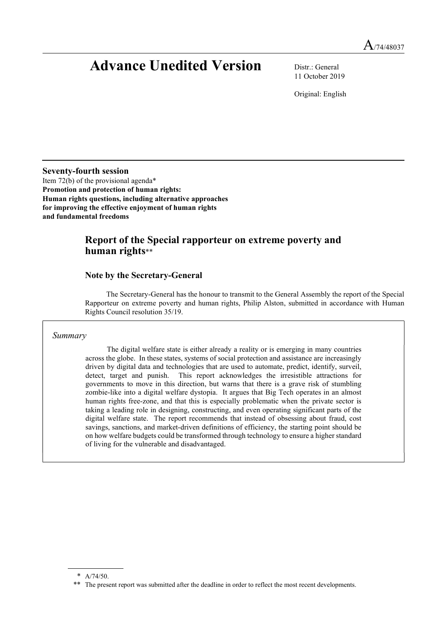# Advance Unedited Version Distr.: General

11 October 2019

Original: English

Seventy-fourth session

Item 72(b) of the provisional agenda\* Promotion and protection of human rights: Human rights questions, including alternative approaches for improving the effective enjoyment of human rights and fundamental freedoms

# Report of the Special rapporteur on extreme poverty and human rights\*\*

## Note by the Secretary-General

The Secretary-General has the honour to transmit to the General Assembly the report of the Special Rapporteur on extreme poverty and human rights, Philip Alston, submitted in accordance with Human Rights Council resolution 35/19.

#### Summary

 The digital welfare state is either already a reality or is emerging in many countries across the globe. In these states, systems of social protection and assistance are increasingly driven by digital data and technologies that are used to automate, predict, identify, surveil, detect, target and punish. This report acknowledges the irresistible attractions for governments to move in this direction, but warns that there is a grave risk of stumbling zombie-like into a digital welfare dystopia. It argues that Big Tech operates in an almost human rights free-zone, and that this is especially problematic when the private sector is taking a leading role in designing, constructing, and even operating significant parts of the digital welfare state. The report recommends that instead of obsessing about fraud, cost savings, sanctions, and market-driven definitions of efficiency, the starting point should be on how welfare budgets could be transformed through technology to ensure a higher standard of living for the vulnerable and disadvantaged.

<sup>\*</sup> A/74/50.

<sup>\*\*</sup> The present report was submitted after the deadline in order to reflect the most recent developments.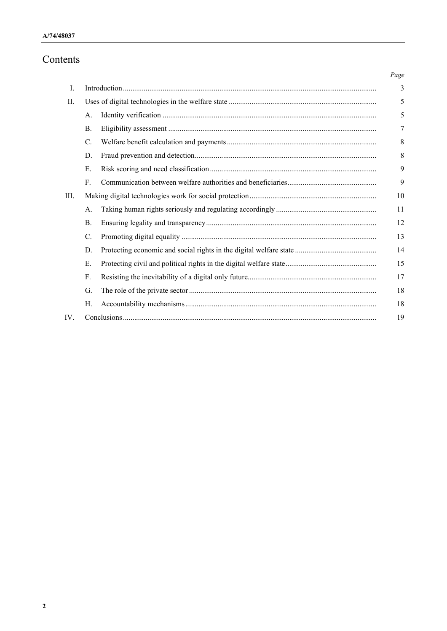# Contents

|      |                 | Page |
|------|-----------------|------|
| Ι.   |                 | 3    |
| II.  |                 | 5    |
|      | А.              | 5    |
|      | <b>B.</b>       | 7    |
|      | $\mathbf{C}$ .  | 8    |
|      | D.              | 8    |
|      | Е.              | 9    |
|      | F.              | 9    |
| III. |                 | 10   |
|      | А.              | 11   |
|      | B.              | 12   |
|      | $\mathcal{C}$ . | 13   |
|      | D.              | 14   |
|      | Е.              | 15   |
|      | F.              | 17   |
|      | G.              | 18   |
|      | Н.              | 18   |
| IV.  |                 | 19   |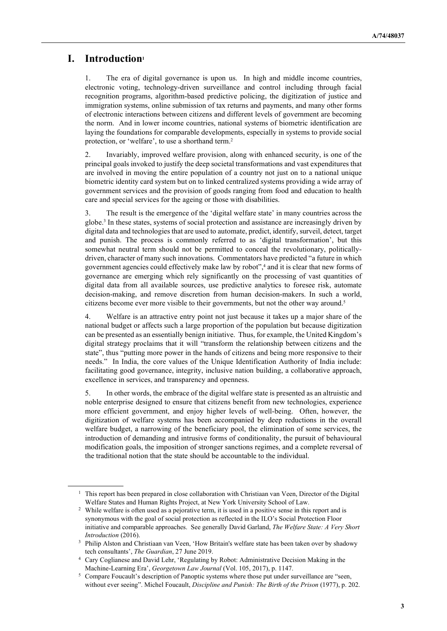# I. Introduction<sup>1</sup>

 $\overline{a}$ 

1. The era of digital governance is upon us. In high and middle income countries, electronic voting, technology-driven surveillance and control including through facial recognition programs, algorithm-based predictive policing, the digitization of justice and immigration systems, online submission of tax returns and payments, and many other forms of electronic interactions between citizens and different levels of government are becoming the norm. And in lower income countries, national systems of biometric identification are laying the foundations for comparable developments, especially in systems to provide social protection, or 'welfare', to use a shorthand term.<sup>2</sup>

2. Invariably, improved welfare provision, along with enhanced security, is one of the principal goals invoked to justify the deep societal transformations and vast expenditures that are involved in moving the entire population of a country not just on to a national unique biometric identity card system but on to linked centralized systems providing a wide array of government services and the provision of goods ranging from food and education to health care and special services for the ageing or those with disabilities.

3. The result is the emergence of the 'digital welfare state' in many countries across the globe.<sup>3</sup> In these states, systems of social protection and assistance are increasingly driven by digital data and technologies that are used to automate, predict, identify, surveil, detect, target and punish. The process is commonly referred to as 'digital transformation', but this somewhat neutral term should not be permitted to conceal the revolutionary, politicallydriven, character of many such innovations. Commentators have predicted "a future in which government agencies could effectively make law by robot",<sup>4</sup> and it is clear that new forms of governance are emerging which rely significantly on the processing of vast quantities of digital data from all available sources, use predictive analytics to foresee risk, automate decision-making, and remove discretion from human decision-makers. In such a world, citizens become ever more visible to their governments, but not the other way around.<sup>5</sup>

4. Welfare is an attractive entry point not just because it takes up a major share of the national budget or affects such a large proportion of the population but because digitization can be presented as an essentially benign initiative. Thus, for example, the United Kingdom's digital strategy proclaims that it will "transform the relationship between citizens and the state", thus "putting more power in the hands of citizens and being more responsive to their needs." In India, the core values of the Unique Identification Authority of India include: facilitating good governance, integrity, inclusive nation building, a collaborative approach, excellence in services, and transparency and openness.

5. In other words, the embrace of the digital welfare state is presented as an altruistic and noble enterprise designed to ensure that citizens benefit from new technologies, experience more efficient government, and enjoy higher levels of well-being. Often, however, the digitization of welfare systems has been accompanied by deep reductions in the overall welfare budget, a narrowing of the beneficiary pool, the elimination of some services, the introduction of demanding and intrusive forms of conditionality, the pursuit of behavioural modification goals, the imposition of stronger sanctions regimes, and a complete reversal of the traditional notion that the state should be accountable to the individual.

<sup>&</sup>lt;sup>1</sup> This report has been prepared in close collaboration with Christiaan van Veen, Director of the Digital Welfare States and Human Rights Project, at New York University School of Law.

<sup>&</sup>lt;sup>2</sup> While welfare is often used as a pejorative term, it is used in a positive sense in this report and is synonymous with the goal of social protection as reflected in the ILO's Social Protection Floor initiative and comparable approaches. See generally David Garland, The Welfare State: A Very Short Introduction (2016).

<sup>&</sup>lt;sup>3</sup> Philip Alston and Christiaan van Veen, 'How Britain's welfare state has been taken over by shadowy tech consultants', The Guardian, 27 June 2019.

<sup>4</sup> Cary Coglianese and David Lehr, 'Regulating by Robot: Administrative Decision Making in the Machine-Learning Era', Georgetown Law Journal (Vol. 105, 2017), p. 1147.

<sup>&</sup>lt;sup>5</sup> Compare Foucault's description of Panoptic systems where those put under surveillance are "seen, without ever seeing". Michel Foucault, Discipline and Punish: The Birth of the Prison (1977), p. 202.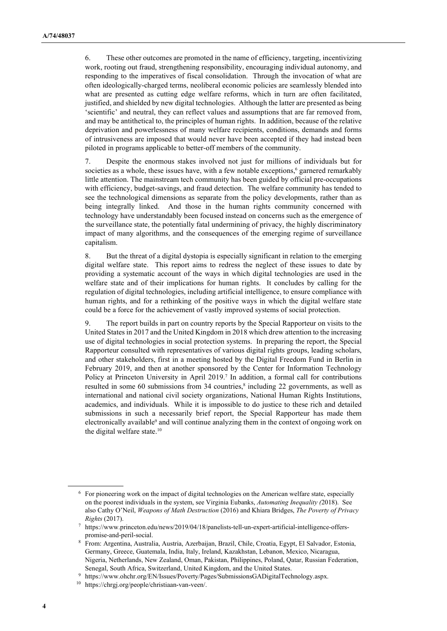6. These other outcomes are promoted in the name of efficiency, targeting, incentivizing work, rooting out fraud, strengthening responsibility, encouraging individual autonomy, and responding to the imperatives of fiscal consolidation. Through the invocation of what are often ideologically-charged terms, neoliberal economic policies are seamlessly blended into what are presented as cutting edge welfare reforms, which in turn are often facilitated, justified, and shielded by new digital technologies. Although the latter are presented as being 'scientific' and neutral, they can reflect values and assumptions that are far removed from, and may be antithetical to, the principles of human rights. In addition, because of the relative deprivation and powerlessness of many welfare recipients, conditions, demands and forms of intrusiveness are imposed that would never have been accepted if they had instead been piloted in programs applicable to better-off members of the community.

7. Despite the enormous stakes involved not just for millions of individuals but for societies as a whole, these issues have, with a few notable exceptions,<sup>6</sup> garnered remarkably little attention. The mainstream tech community has been guided by official pre-occupations with efficiency, budget-savings, and fraud detection. The welfare community has tended to see the technological dimensions as separate from the policy developments, rather than as being integrally linked. And those in the human rights community concerned with technology have understandably been focused instead on concerns such as the emergence of the surveillance state, the potentially fatal undermining of privacy, the highly discriminatory impact of many algorithms, and the consequences of the emerging regime of surveillance capitalism.

8. But the threat of a digital dystopia is especially significant in relation to the emerging digital welfare state. This report aims to redress the neglect of these issues to date by providing a systematic account of the ways in which digital technologies are used in the welfare state and of their implications for human rights. It concludes by calling for the regulation of digital technologies, including artificial intelligence, to ensure compliance with human rights, and for a rethinking of the positive ways in which the digital welfare state could be a force for the achievement of vastly improved systems of social protection.

9. The report builds in part on country reports by the Special Rapporteur on visits to the United States in 2017 and the United Kingdom in 2018 which drew attention to the increasing use of digital technologies in social protection systems. In preparing the report, the Special Rapporteur consulted with representatives of various digital rights groups, leading scholars, and other stakeholders, first in a meeting hosted by the Digital Freedom Fund in Berlin in February 2019, and then at another sponsored by the Center for Information Technology Policy at Princeton University in April 2019.<sup>7</sup> In addition, a formal call for contributions resulted in some 60 submissions from 34 countries, $\frac{8}{3}$  including 22 governments, as well as international and national civil society organizations, National Human Rights Institutions, academics, and individuals. While it is impossible to do justice to these rich and detailed submissions in such a necessarily brief report, the Special Rapporteur has made them electronically available<sup>9</sup> and will continue analyzing them in the context of ongoing work on the digital welfare state.<sup>10</sup>

<sup>6</sup> For pioneering work on the impact of digital technologies on the American welfare state, especially on the poorest individuals in the system, see Virginia Eubanks, Automating Inequality (2018). See also Cathy O'Neil, Weapons of Math Destruction (2016) and Khiara Bridges, The Poverty of Privacy Rights (2017).

<sup>7</sup> https://www.princeton.edu/news/2019/04/18/panelists-tell-un-expert-artificial-intelligence-offerspromise-and-peril-social.

<sup>8</sup> From: Argentina, Australia, Austria, Azerbaijan, Brazil, Chile, Croatia, Egypt, El Salvador, Estonia, Germany, Greece, Guatemala, India, Italy, Ireland, Kazakhstan, Lebanon, Mexico, Nicaragua, Nigeria, Netherlands, New Zealand, Oman, Pakistan, Philippines, Poland, Qatar, Russian Federation, Senegal, South Africa, Switzerland, United Kingdom, and the United States.

<sup>9</sup> https://www.ohchr.org/EN/Issues/Poverty/Pages/SubmissionsGADigitalTechnology.aspx.

<sup>10</sup> https://chrgj.org/people/christiaan-van-veen/.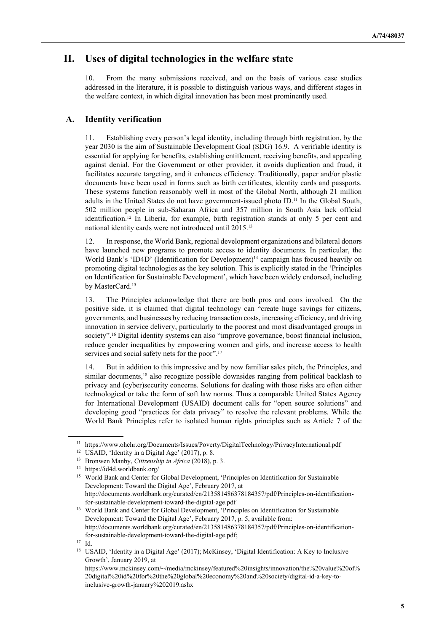# II. Uses of digital technologies in the welfare state

10. From the many submissions received, and on the basis of various case studies addressed in the literature, it is possible to distinguish various ways, and different stages in the welfare context, in which digital innovation has been most prominently used.

#### A. Identity verification

11. Establishing every person's legal identity, including through birth registration, by the year 2030 is the aim of Sustainable Development Goal (SDG) 16.9. A verifiable identity is essential for applying for benefits, establishing entitlement, receiving benefits, and appealing against denial. For the Government or other provider, it avoids duplication and fraud, it facilitates accurate targeting, and it enhances efficiency. Traditionally, paper and/or plastic documents have been used in forms such as birth certificates, identity cards and passports. These systems function reasonably well in most of the Global North, although 21 million adults in the United States do not have government-issued photo ID.11 In the Global South, 502 million people in sub-Saharan Africa and 357 million in South Asia lack official identification.<sup>12</sup> In Liberia, for example, birth registration stands at only 5 per cent and national identity cards were not introduced until 2015.<sup>13</sup>

12. In response, the World Bank, regional development organizations and bilateral donors have launched new programs to promote access to identity documents. In particular, the World Bank's 'ID4D' (Identification for Development)<sup>14</sup> campaign has focused heavily on promoting digital technologies as the key solution. This is explicitly stated in the 'Principles on Identification for Sustainable Development', which have been widely endorsed, including by MasterCard.<sup>15</sup>

13. The Principles acknowledge that there are both pros and cons involved. On the positive side, it is claimed that digital technology can "create huge savings for citizens, governments, and businesses by reducing transaction costs, increasing efficiency, and driving innovation in service delivery, particularly to the poorest and most disadvantaged groups in society".16 Digital identity systems can also "improve governance, boost financial inclusion, reduce gender inequalities by empowering women and girls, and increase access to health services and social safety nets for the poor".<sup>17</sup>

14. But in addition to this impressive and by now familiar sales pitch, the Principles, and similar documents,<sup>18</sup> also recognize possible downsides ranging from political backlash to privacy and (cyber)security concerns. Solutions for dealing with those risks are often either technological or take the form of soft law norms. Thus a comparable United States Agency for International Development (USAID) document calls for "open source solutions" and developing good "practices for data privacy" to resolve the relevant problems. While the World Bank Principles refer to isolated human rights principles such as Article 7 of the

<sup>11</sup> https://www.ohchr.org/Documents/Issues/Poverty/DigitalTechnology/PrivacyInternational.pdf

<sup>&</sup>lt;sup>12</sup> USAID, 'Identity in a Digital Age' (2017), p. 8.

<sup>&</sup>lt;sup>13</sup> Bronwen Manby, Citizenship in Africa (2018), p. 3.

<sup>14</sup> https://id4d.worldbank.org/

<sup>&</sup>lt;sup>15</sup> World Bank and Center for Global Development, 'Principles on Identification for Sustainable Development: Toward the Digital Age', February 2017, at http://documents.worldbank.org/curated/en/213581486378184357/pdf/Principles-on-identificationfor-sustainable-development-toward-the-digital-age.pdf

<sup>&</sup>lt;sup>16</sup> World Bank and Center for Global Development, 'Principles on Identification for Sustainable Development: Toward the Digital Age', February 2017, p. 5, available from: http://documents.worldbank.org/curated/en/213581486378184357/pdf/Principles-on-identificationfor-sustainable-development-toward-the-digital-age.pdf;

<sup>17</sup> Id.

<sup>&</sup>lt;sup>18</sup> USAID, 'Identity in a Digital Age' (2017); McKinsey, 'Digital Identification: A Key to Inclusive Growth', January 2019, at

https://www.mckinsey.com/~/media/mckinsey/featured%20insights/innovation/the%20value%20of% 20digital%20id%20for%20the%20global%20economy%20and%20society/digital-id-a-key-toinclusive-growth-january%202019.ashx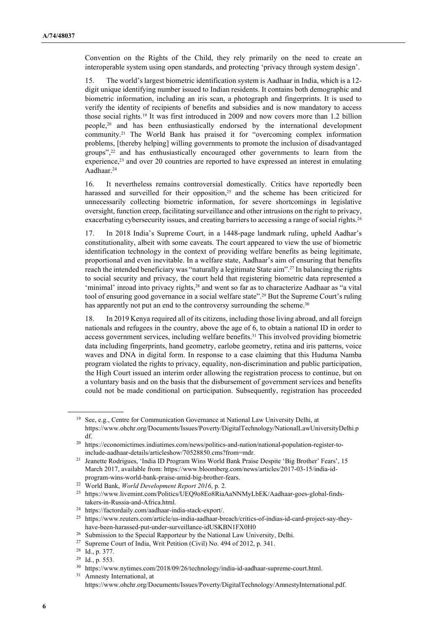Convention on the Rights of the Child, they rely primarily on the need to create an interoperable system using open standards, and protecting 'privacy through system design'.

15. The world's largest biometric identification system is Aadhaar in India, which is a 12 digit unique identifying number issued to Indian residents. It contains both demographic and biometric information, including an iris scan, a photograph and fingerprints. It is used to verify the identity of recipients of benefits and subsidies and is now mandatory to access those social rights.19 It was first introduced in 2009 and now covers more than 1.2 billion people,20 and has been enthusiastically endorsed by the international development community.21 The World Bank has praised it for "overcoming complex information problems, [thereby helping] willing governments to promote the inclusion of disadvantaged groups",22 and has enthusiastically encouraged other governments to learn from the experience,<sup>23</sup> and over 20 countries are reported to have expressed an interest in emulating Aadhaar.<sup>24</sup>

16. It nevertheless remains controversial domestically. Critics have reportedly been harassed and surveilled for their opposition,<sup>25</sup> and the scheme has been criticized for unnecessarily collecting biometric information, for severe shortcomings in legislative oversight, function creep, facilitating surveillance and other intrusions on the right to privacy, exacerbating cybersecurity issues, and creating barriers to accessing a range of social rights.<sup>26</sup>

17. In 2018 India's Supreme Court, in a 1448-page landmark ruling, upheld Aadhar's constitutionality, albeit with some caveats. The court appeared to view the use of biometric identification technology in the context of providing welfare benefits as being legitimate, proportional and even inevitable. In a welfare state, Aadhaar's aim of ensuring that benefits reach the intended beneficiary was "naturally a legitimate State aim".27 In balancing the rights to social security and privacy, the court held that registering biometric data represented a 'minimal' inroad into privacy rights,<sup>28</sup> and went so far as to characterize Aadhaar as "a vital tool of ensuring good governance in a social welfare state".29 But the Supreme Court's ruling has apparently not put an end to the controversy surrounding the scheme.<sup>30</sup>

18. In 2019 Kenya required all of its citizens, including those living abroad, and all foreign nationals and refugees in the country, above the age of 6, to obtain a national ID in order to access government services, including welfare benefits.31 This involved providing biometric data including fingerprints, hand geometry, earlobe geometry, retina and iris patterns, voice waves and DNA in digital form. In response to a case claiming that this Huduma Namba program violated the rights to privacy, equality, non-discrimination and public participation, the High Court issued an interim order allowing the registration process to continue, but on a voluntary basis and on the basis that the disbursement of government services and benefits could not be made conditional on participation. Subsequently, registration has proceeded

<sup>19</sup> See, e.g., Centre for Communication Governance at National Law University Delhi, at https://www.ohchr.org/Documents/Issues/Poverty/DigitalTechnology/NationalLawUniversityDelhi.p df.

<sup>20</sup> https://economictimes.indiatimes.com/news/politics-and-nation/national-population-register-toinclude-aadhaar-details/articleshow/70528850.cms?from=mdr.

<sup>&</sup>lt;sup>21</sup> Jeanette Rodrigues, 'India ID Program Wins World Bank Praise Despite 'Big Brother' Fears', 15 March 2017, available from: https://www.bloomberg.com/news/articles/2017-03-15/india-idprogram-wins-world-bank-praise-amid-big-brother-fears.

<sup>&</sup>lt;sup>22</sup> World Bank, World Development Report 2016, p. 2.

<sup>&</sup>lt;sup>23</sup> https://www.livemint.com/Politics/UEQ9o8Eo8RiaAaNNMyLbEK/Aadhaar-goes-global-findstakers-in-Russia-and-Africa.html.

<sup>24</sup> https://factordaily.com/aadhaar-india-stack-export/.

<sup>25</sup> https://www.reuters.com/article/us-india-aadhaar-breach/critics-of-indias-id-card-project-say-theyhave-been-harassed-put-under-surveillance-idUSKBN1FX0H0

<sup>&</sup>lt;sup>26</sup> Submission to the Special Rapporteur by the National Law University, Delhi.

<sup>27</sup> Supreme Court of India, Writ Petition (Civil) No. 494 of 2012, p. 341.

<sup>28</sup> Id., p. 377.

<sup>29</sup> Id., p. 553.

<sup>30</sup> https://www.nytimes.com/2018/09/26/technology/india-id-aadhaar-supreme-court.html.

<sup>&</sup>lt;sup>31</sup> Amnesty International, at https://www.ohchr.org/Documents/Issues/Poverty/DigitalTechnology/AmnestyInternational.pdf.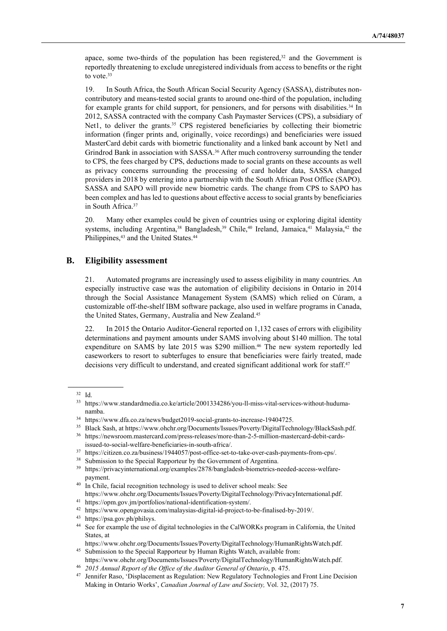apace, some two-thirds of the population has been registered, $32$  and the Government is reportedly threatening to exclude unregistered individuals from access to benefits or the right to vote.<sup>33</sup>

19. In South Africa, the South African Social Security Agency (SASSA), distributes noncontributory and means-tested social grants to around one-third of the population, including for example grants for child support, for pensioners, and for persons with disabilities.<sup>34</sup> In 2012, SASSA contracted with the company Cash Paymaster Services (CPS), a subsidiary of Net1, to deliver the grants.<sup>35</sup> CPS registered beneficiaries by collecting their biometric information (finger prints and, originally, voice recordings) and beneficiaries were issued MasterCard debit cards with biometric functionality and a linked bank account by Net1 and Grindrod Bank in association with SASSA.<sup>36</sup> After much controversy surrounding the tender to CPS, the fees charged by CPS, deductions made to social grants on these accounts as well as privacy concerns surrounding the processing of card holder data, SASSA changed providers in 2018 by entering into a partnership with the South African Post Office (SAPO). SASSA and SAPO will provide new biometric cards. The change from CPS to SAPO has been complex and has led to questions about effective access to social grants by beneficiaries in South Africa.<sup>37</sup>

20. Many other examples could be given of countries using or exploring digital identity systems, including Argentina,<sup>38</sup> Bangladesh,<sup>39</sup> Chile,<sup>40</sup> Ireland, Jamaica,<sup>41</sup> Malaysia,<sup>42</sup> the Philippines,<sup>43</sup> and the United States.<sup>44</sup>

## B. Eligibility assessment

21. Automated programs are increasingly used to assess eligibility in many countries. An especially instructive case was the automation of eligibility decisions in Ontario in 2014 through the Social Assistance Management System (SAMS) which relied on Cúram, a customizable off-the-shelf IBM software package, also used in welfare programs in Canada, the United States, Germany, Australia and New Zealand.<sup>45</sup>

22. In 2015 the Ontario Auditor-General reported on 1,132 cases of errors with eligibility determinations and payment amounts under SAMS involving about \$140 million. The total expenditure on SAMS by late 2015 was \$290 million.<sup>46</sup> The new system reportedly led caseworkers to resort to subterfuges to ensure that beneficiaries were fairly treated, made decisions very difficult to understand, and created significant additional work for staff.<sup>47</sup>

<sup>32</sup> Id.

<sup>33</sup> https://www.standardmedia.co.ke/article/2001334286/you-ll-miss-vital-services-without-hudumanamba.

<sup>34</sup> https://www.dfa.co.za/news/budget2019-social-grants-to-increase-19404725.

<sup>35</sup> Black Sash, at https://www.ohchr.org/Documents/Issues/Poverty/DigitalTechnology/BlackSash.pdf.

<sup>36</sup> https://newsroom.mastercard.com/press-releases/more-than-2-5-million-mastercard-debit-cardsissued-to-social-welfare-beneficiaries-in-south-africa/.

<sup>37</sup> https://citizen.co.za/business/1944057/post-office-set-to-take-over-cash-payments-from-cps/.

<sup>&</sup>lt;sup>38</sup> Submission to the Special Rapporteur by the Government of Argentina.

<sup>39</sup> https://privacyinternational.org/examples/2878/bangladesh-biometrics-needed-access-welfarepayment.

<sup>&</sup>lt;sup>40</sup> In Chile, facial recognition technology is used to deliver school meals: See https://www.ohchr.org/Documents/Issues/Poverty/DigitalTechnology/PrivacyInternational.pdf.

<sup>41</sup> https://opm.gov.jm/portfolios/national-identification-system/.

<sup>42</sup> https://www.opengovasia.com/malaysias-digital-id-project-to-be-finalised-by-2019/.

<sup>43</sup> https://psa.gov.ph/philsys.

<sup>44</sup> See for example the use of digital technologies in the CalWORKs program in California, the United States, at

https://www.ohchr.org/Documents/Issues/Poverty/DigitalTechnology/HumanRightsWatch.pdf. <sup>45</sup> Submission to the Special Rapporteur by Human Rights Watch, available from:

https://www.ohchr.org/Documents/Issues/Poverty/DigitalTechnology/HumanRightsWatch.pdf.

<sup>2015</sup> Annual Report of the Office of the Auditor General of Ontario, p. 475.

<sup>&</sup>lt;sup>47</sup> Jennifer Raso, 'Displacement as Regulation: New Regulatory Technologies and Front Line Decision Making in Ontario Works', Canadian Journal of Law and Society, Vol. 32, (2017) 75.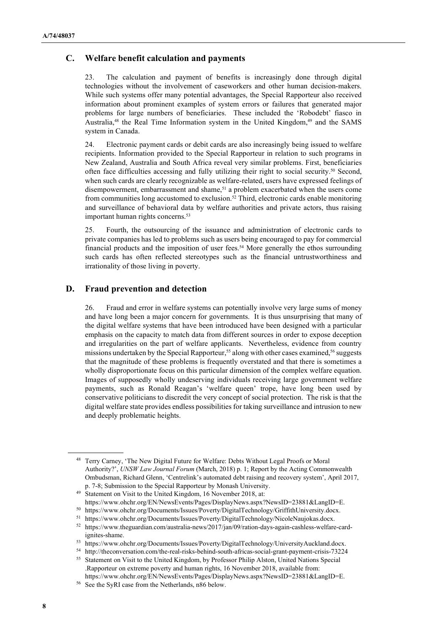#### C. Welfare benefit calculation and payments

23. The calculation and payment of benefits is increasingly done through digital technologies without the involvement of caseworkers and other human decision-makers. While such systems offer many potential advantages, the Special Rapporteur also received information about prominent examples of system errors or failures that generated major problems for large numbers of beneficiaries. These included the 'Robodebt' fiasco in Australia,<sup>48</sup> the Real Time Information system in the United Kingdom,<sup>49</sup> and the SAMS system in Canada.

24. Electronic payment cards or debit cards are also increasingly being issued to welfare recipients. Information provided to the Special Rapporteur in relation to such programs in New Zealand, Australia and South Africa reveal very similar problems. First, beneficiaries often face difficulties accessing and fully utilizing their right to social security.<sup>50</sup> Second, when such cards are clearly recognizable as welfare-related, users have expressed feelings of disempowerment, embarrassment and shame,<sup>51</sup> a problem exacerbated when the users come from communities long accustomed to exclusion.52 Third, electronic cards enable monitoring and surveillance of behavioral data by welfare authorities and private actors, thus raising important human rights concerns.<sup>53</sup>

25. Fourth, the outsourcing of the issuance and administration of electronic cards to private companies has led to problems such as users being encouraged to pay for commercial financial products and the imposition of user fees.<sup>54</sup> More generally the ethos surrounding such cards has often reflected stereotypes such as the financial untrustworthiness and irrationality of those living in poverty.

#### D. Fraud prevention and detection

26. Fraud and error in welfare systems can potentially involve very large sums of money and have long been a major concern for governments. It is thus unsurprising that many of the digital welfare systems that have been introduced have been designed with a particular emphasis on the capacity to match data from different sources in order to expose deception and irregularities on the part of welfare applicants. Nevertheless, evidence from country missions undertaken by the Special Rapporteur,<sup>55</sup> along with other cases examined,<sup>56</sup> suggests that the magnitude of these problems is frequently overstated and that there is sometimes a wholly disproportionate focus on this particular dimension of the complex welfare equation. Images of supposedly wholly undeserving individuals receiving large government welfare payments, such as Ronald Reagan's 'welfare queen' trope, have long been used by conservative politicians to discredit the very concept of social protection. The risk is that the digital welfare state provides endless possibilities for taking surveillance and intrusion to new and deeply problematic heights.

<sup>49</sup> Statement on Visit to the United Kingdom, 16 November 2018, at: https://www.ohchr.org/EN/NewsEvents/Pages/DisplayNews.aspx?NewsID=23881&LangID=E.

<sup>54</sup> http://theconversation.com/the-real-risks-behind-south-africas-social-grant-payment-crisis-73224

<sup>48</sup> Terry Carney, 'The New Digital Future for Welfare: Debts Without Legal Proofs or Moral Authority?', UNSW Law Journal Forum (March, 2018) p. 1; Report by the Acting Commonwealth Ombudsman, Richard Glenn, 'Centrelink's automated debt raising and recovery system', April 2017, p. 7-8; Submission to the Special Rapporteur by Monash University.

<sup>50</sup> https://www.ohchr.org/Documents/Issues/Poverty/DigitalTechnology/GriffithUniversity.docx.

<sup>51</sup> https://www.ohchr.org/Documents/Issues/Poverty/DigitalTechnology/NicoleNaujokas.docx.

<sup>52</sup> https://www.theguardian.com/australia-news/2017/jan/09/ration-days-again-cashless-welfare-cardignites-shame.

<sup>53</sup> https://www.ohchr.org/Documents/Issues/Poverty/DigitalTechnology/UniversityAuckland.docx.

<sup>55</sup> Statement on Visit to the United Kingdom, by Professor Philip Alston, United Nations Special .Rapporteur on extreme poverty and human rights, 16 November 2018, available from: https://www.ohchr.org/EN/NewsEvents/Pages/DisplayNews.aspx?NewsID=23881&LangID=E.

<sup>56</sup> See the SyRI case from the Netherlands, n86 below.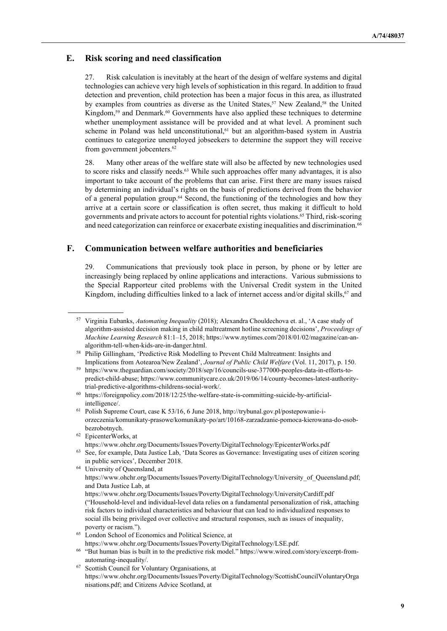## E. Risk scoring and need classification

27. Risk calculation is inevitably at the heart of the design of welfare systems and digital technologies can achieve very high levels of sophistication in this regard. In addition to fraud detection and prevention, child protection has been a major focus in this area, as illustrated by examples from countries as diverse as the United States,<sup>57</sup> New Zealand,<sup>58</sup> the United Kingdom,<sup>59</sup> and Denmark.<sup>60</sup> Governments have also applied these techniques to determine whether unemployment assistance will be provided and at what level. A prominent such scheme in Poland was held unconstitutional,<sup>61</sup> but an algorithm-based system in Austria continues to categorize unemployed jobseekers to determine the support they will receive from government jobcenters.<sup>62</sup>

28. Many other areas of the welfare state will also be affected by new technologies used to score risks and classify needs.<sup>63</sup> While such approaches offer many advantages, it is also important to take account of the problems that can arise. First there are many issues raised by determining an individual's rights on the basis of predictions derived from the behavior of a general population group.64 Second, the functioning of the technologies and how they arrive at a certain score or classification is often secret, thus making it difficult to hold governments and private actors to account for potential rights violations.65 Third, risk-scoring and need categorization can reinforce or exacerbate existing inequalities and discrimination.<sup>66</sup>

## F. Communication between welfare authorities and beneficiaries

29. Communications that previously took place in person, by phone or by letter are increasingly being replaced by online applications and interactions. Various submissions to the Special Rapporteur cited problems with the Universal Credit system in the United Kingdom, including difficulties linked to a lack of internet access and/or digital skills,<sup>67</sup> and

<sup>57</sup> Virginia Eubanks, Automating Inequality (2018); Alexandra Chouldechova et. al., 'A case study of algorithm-assisted decision making in child maltreatment hotline screening decisions', Proceedings of Machine Learning Research 81:1–15, 2018; https://www.nytimes.com/2018/01/02/magazine/can-analgorithm-tell-when-kids-are-in-danger.html.

<sup>58</sup> Philip Gillingham, 'Predictive Risk Modelling to Prevent Child Maltreatment: Insights and Implications from Aotearoa/New Zealand', Journal of Public Child Welfare (Vol. 11, 2017), p. 150.

<sup>59</sup> https://www.theguardian.com/society/2018/sep/16/councils-use-377000-peoples-data-in-efforts-topredict-child-abuse; https://www.communitycare.co.uk/2019/06/14/county-becomes-latest-authoritytrial-predictive-algorithms-childrens-social-work/.

<sup>60</sup> https://foreignpolicy.com/2018/12/25/the-welfare-state-is-committing-suicide-by-artificialintelligence/.

<sup>61</sup> Polish Supreme Court, case K 53/16, 6 June 2018, http://trybunal.gov.pl/postepowanie-iorzeczenia/komunikaty-prasowe/komunikaty-po/art/10168-zarzadzanie-pomoca-kierowana-do-osobbezrobotnych.

<sup>62</sup> EpicenterWorks, at

https://www.ohchr.org/Documents/Issues/Poverty/DigitalTechnology/EpicenterWorks.pdf

<sup>63</sup> See, for example, Data Justice Lab, 'Data Scores as Governance: Investigating uses of citizen scoring in public services', December 2018.

<sup>64</sup> University of Queensland, at https://www.ohchr.org/Documents/Issues/Poverty/DigitalTechnology/University\_of\_Queensland.pdf; and Data Justice Lab, at https://www.ohchr.org/Documents/Issues/Poverty/DigitalTechnology/UniversityCardiff.pdf ("Household-level and individual-level data relies on a fundamental personalization of risk, attaching risk factors to individual characteristics and behaviour that can lead to individualized responses to

social ills being privileged over collective and structural responses, such as issues of inequality, poverty or racism.").

<sup>65</sup> London School of Economics and Political Science, at

https://www.ohchr.org/Documents/Issues/Poverty/DigitalTechnology/LSE.pdf.

<sup>66</sup> "But human bias is built in to the predictive risk model." https://www.wired.com/story/excerpt-fromautomating-inequality/.

<sup>67</sup> Scottish Council for Voluntary Organisations, at https://www.ohchr.org/Documents/Issues/Poverty/DigitalTechnology/ScottishCouncilVoluntaryOrga nisations.pdf; and Citizens Advice Scotland, at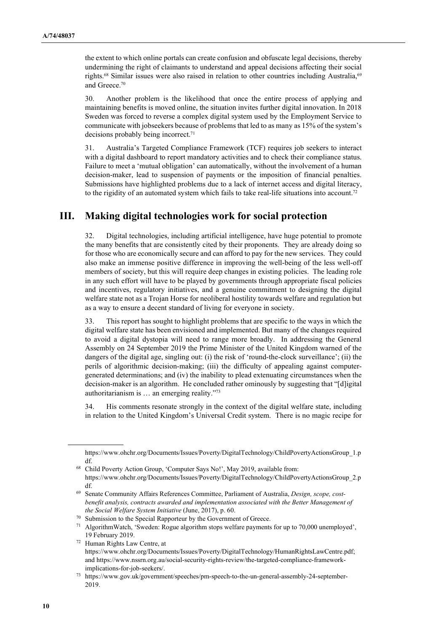the extent to which online portals can create confusion and obfuscate legal decisions, thereby undermining the right of claimants to understand and appeal decisions affecting their social rights.<sup>68</sup> Similar issues were also raised in relation to other countries including Australia,<sup>69</sup> and Greece.<sup>70</sup>

30. Another problem is the likelihood that once the entire process of applying and maintaining benefits is moved online, the situation invites further digital innovation. In 2018 Sweden was forced to reverse a complex digital system used by the Employment Service to communicate with jobseekers because of problems that led to as many as 15% of the system's decisions probably being incorrect.<sup>71</sup>

31. Australia's Targeted Compliance Framework (TCF) requires job seekers to interact with a digital dashboard to report mandatory activities and to check their compliance status. Failure to meet a 'mutual obligation' can automatically, without the involvement of a human decision-maker, lead to suspension of payments or the imposition of financial penalties. Submissions have highlighted problems due to a lack of internet access and digital literacy, to the rigidity of an automated system which fails to take real-life situations into account.<sup>72</sup>

## III. Making digital technologies work for social protection

32. Digital technologies, including artificial intelligence, have huge potential to promote the many benefits that are consistently cited by their proponents. They are already doing so for those who are economically secure and can afford to pay for the new services. They could also make an immense positive difference in improving the well-being of the less well-off members of society, but this will require deep changes in existing policies. The leading role in any such effort will have to be played by governments through appropriate fiscal policies and incentives, regulatory initiatives, and a genuine commitment to designing the digital welfare state not as a Trojan Horse for neoliberal hostility towards welfare and regulation but as a way to ensure a decent standard of living for everyone in society.

33. This report has sought to highlight problems that are specific to the ways in which the digital welfare state has been envisioned and implemented. But many of the changes required to avoid a digital dystopia will need to range more broadly. In addressing the General Assembly on 24 September 2019 the Prime Minister of the United Kingdom warned of the dangers of the digital age, singling out: (i) the risk of 'round-the-clock surveillance'; (ii) the perils of algorithmic decision-making; (iii) the difficulty of appealing against computergenerated determinations; and (iv) the inability to plead extenuating circumstances when the decision-maker is an algorithm. He concluded rather ominously by suggesting that "[d]igital authoritarianism is … an emerging reality."<sup>73</sup>

34. His comments resonate strongly in the context of the digital welfare state, including in relation to the United Kingdom's Universal Credit system. There is no magic recipe for

https://www.ohchr.org/Documents/Issues/Poverty/DigitalTechnology/ChildPovertyActionsGroup\_1.p df.

<sup>68</sup> Child Poverty Action Group, 'Computer Says No!', May 2019, available from: https://www.ohchr.org/Documents/Issues/Poverty/DigitalTechnology/ChildPovertyActionsGroup\_2.p df.

<sup>&</sup>lt;sup>69</sup> Senate Community Affairs References Committee, Parliament of Australia, Design, scope, costbenefit analysis, contracts awarded and implementation associated with the Better Management of the Social Welfare System Initiative (June, 2017), p. 60.

<sup>70</sup> Submission to the Special Rapporteur by the Government of Greece.

<sup>71</sup> AlgorithmWatch, 'Sweden: Rogue algorithm stops welfare payments for up to 70,000 unemployed', 19 February 2019.

<sup>72</sup> Human Rights Law Centre, at https://www.ohchr.org/Documents/Issues/Poverty/DigitalTechnology/HumanRightsLawCentre.pdf; and https://www.nssrn.org.au/social-security-rights-review/the-targeted-compliance-frameworkimplications-for-job-seekers/.

<sup>73</sup> https://www.gov.uk/government/speeches/pm-speech-to-the-un-general-assembly-24-september-2019.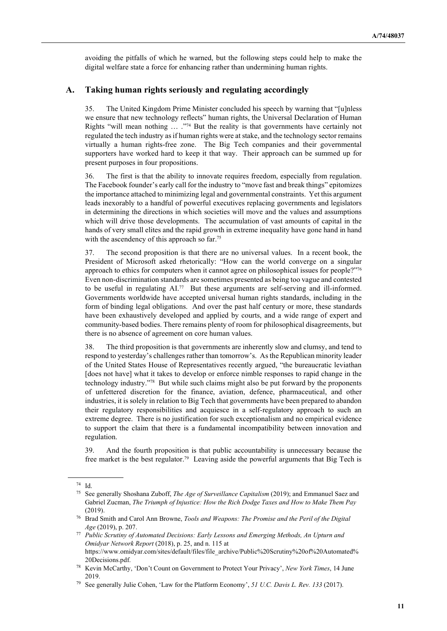avoiding the pitfalls of which he warned, but the following steps could help to make the digital welfare state a force for enhancing rather than undermining human rights.

#### A. Taking human rights seriously and regulating accordingly

35. The United Kingdom Prime Minister concluded his speech by warning that "[u]nless we ensure that new technology reflects" human rights, the Universal Declaration of Human Rights "will mean nothing … ."74 But the reality is that governments have certainly not regulated the tech industry as if human rights were at stake, and the technology sector remains virtually a human rights-free zone. The Big Tech companies and their governmental supporters have worked hard to keep it that way. Their approach can be summed up for present purposes in four propositions.

36. The first is that the ability to innovate requires freedom, especially from regulation. The Facebook founder's early call for the industry to "move fast and break things" epitomizes the importance attached to minimizing legal and governmental constraints. Yet this argument leads inexorably to a handful of powerful executives replacing governments and legislators in determining the directions in which societies will move and the values and assumptions which will drive those developments. The accumulation of vast amounts of capital in the hands of very small elites and the rapid growth in extreme inequality have gone hand in hand with the ascendency of this approach so far.<sup>75</sup>

37. The second proposition is that there are no universal values. In a recent book, the President of Microsoft asked rhetorically: "How can the world converge on a singular approach to ethics for computers when it cannot agree on philosophical issues for people?"<sup>76</sup> Even non-discrimination standards are sometimes presented as being too vague and contested to be useful in regulating AI.77 But these arguments are self-serving and ill-informed. Governments worldwide have accepted universal human rights standards, including in the form of binding legal obligations. And over the past half century or more, these standards have been exhaustively developed and applied by courts, and a wide range of expert and community-based bodies. There remains plenty of room for philosophical disagreements, but there is no absence of agreement on core human values.

38. The third proposition is that governments are inherently slow and clumsy, and tend to respond to yesterday's challenges rather than tomorrow's. As the Republican minority leader of the United States House of Representatives recently argued, "the bureaucratic leviathan [does not have] what it takes to develop or enforce nimble responses to rapid change in the technology industry."78 But while such claims might also be put forward by the proponents of unfettered discretion for the finance, aviation, defence, pharmaceutical, and other industries, it is solely in relation to Big Tech that governments have been prepared to abandon their regulatory responsibilities and acquiesce in a self-regulatory approach to such an extreme degree. There is no justification for such exceptionalism and no empirical evidence to support the claim that there is a fundamental incompatibility between innovation and regulation.

39. And the fourth proposition is that public accountability is unnecessary because the free market is the best regulator.79 Leaving aside the powerful arguments that Big Tech is

<sup>74</sup> Id.

<sup>&</sup>lt;sup>75</sup> See generally Shoshana Zuboff, *The Age of Surveillance Capitalism* (2019); and Emmanuel Saez and Gabriel Zucman, The Triumph of Injustice: How the Rich Dodge Taxes and How to Make Them Pay (2019).

<sup>&</sup>lt;sup>76</sup> Brad Smith and Carol Ann Browne, *Tools and Weapons: The Promise and the Peril of the Digital* Age (2019), p. 207.

 $77$  Public Scrutiny of Automated Decisions: Early Lessons and Emerging Methods, An Upturn and Omidyar Network Report (2018), p. 25, and n. 115 at https://www.omidyar.com/sites/default/files/file\_archive/Public%20Scrutiny%20of%20Automated% 20Decisions.pdf.

<sup>78</sup> Kevin McCarthy, 'Don't Count on Government to Protect Your Privacy', New York Times, 14 June 2019.

See generally Julie Cohen, 'Law for the Platform Economy', 51 U.C. Davis L. Rev. 133 (2017).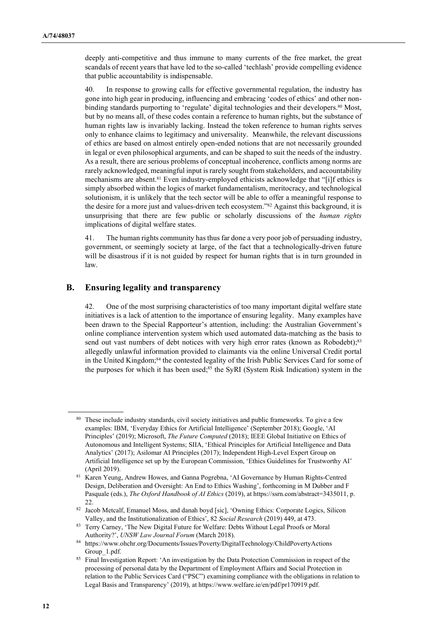deeply anti-competitive and thus immune to many currents of the free market, the great scandals of recent years that have led to the so-called 'techlash' provide compelling evidence that public accountability is indispensable.

40. In response to growing calls for effective governmental regulation, the industry has gone into high gear in producing, influencing and embracing 'codes of ethics' and other nonbinding standards purporting to 'regulate' digital technologies and their developers.<sup>80</sup> Most, but by no means all, of these codes contain a reference to human rights, but the substance of human rights law is invariably lacking. Instead the token reference to human rights serves only to enhance claims to legitimacy and universality. Meanwhile, the relevant discussions of ethics are based on almost entirely open-ended notions that are not necessarily grounded in legal or even philosophical arguments, and can be shaped to suit the needs of the industry. As a result, there are serious problems of conceptual incoherence, conflicts among norms are rarely acknowledged, meaningful input is rarely sought from stakeholders, and accountability mechanisms are absent.81 Even industry-employed ethicists acknowledge that "[i]f ethics is simply absorbed within the logics of market fundamentalism, meritocracy, and technological solutionism, it is unlikely that the tech sector will be able to offer a meaningful response to the desire for a more just and values-driven tech ecosystem."82 Against this background, it is unsurprising that there are few public or scholarly discussions of the *human rights* implications of digital welfare states.

41. The human rights community has thus far done a very poor job of persuading industry, government, or seemingly society at large, of the fact that a technologically-driven future will be disastrous if it is not guided by respect for human rights that is in turn grounded in law.

#### B. Ensuring legality and transparency

42. One of the most surprising characteristics of too many important digital welfare state initiatives is a lack of attention to the importance of ensuring legality. Many examples have been drawn to the Special Rapporteur's attention, including: the Australian Government's online compliance intervention system which used automated data-matching as the basis to send out vast numbers of debt notices with very high error rates (known as Robodebt);<sup>83</sup> allegedly unlawful information provided to claimants via the online Universal Credit portal in the United Kingdom;<sup>84</sup> the contested legality of the Irish Public Services Card for some of the purposes for which it has been used;<sup>85</sup> the SyRI (System Risk Indication) system in the

<sup>&</sup>lt;sup>80</sup> These include industry standards, civil society initiatives and public frameworks. To give a few examples: IBM, 'Everyday Ethics for Artificial Intelligence' (September 2018); Google, 'AI Principles' (2019); Microsoft, The Future Computed (2018); IEEE Global Initiative on Ethics of Autonomous and Intelligent Systems; SIIA, 'Ethical Principles for Artificial Intelligence and Data Analytics' (2017); Asilomar AI Principles (2017); Independent High-Level Expert Group on Artificial Intelligence set up by the European Commission, 'Ethics Guidelines for Trustworthy AI' (April 2019).

<sup>81</sup> Karen Yeung, Andrew Howes, and Ganna Pogrebna, 'AI Governance by Human Rights-Centred Design, Deliberation and Oversight: An End to Ethics Washing', forthcoming in M Dubber and F Pasquale (eds.), The Oxford Handbook of AI Ethics (2019), at https://ssrn.com/abstract=3435011, p. 22.

<sup>82</sup> Jacob Metcalf, Emanuel Moss, and danah boyd [sic], 'Owning Ethics: Corporate Logics, Silicon Valley, and the Institutionalization of Ethics', 82 Social Research (2019) 449, at 473.

<sup>83</sup> Terry Carney, 'The New Digital Future for Welfare: Debts Without Legal Proofs or Moral Authority?', UNSW Law Journal Forum (March 2018).

<sup>84</sup> https://www.ohchr.org/Documents/Issues/Poverty/DigitalTechnology/ChildPovertyActions Group\_1.pdf.

<sup>&</sup>lt;sup>85</sup> Final Investigation Report: 'An investigation by the Data Protection Commission in respect of the processing of personal data by the Department of Employment Affairs and Social Protection in relation to the Public Services Card ("PSC") examining compliance with the obligations in relation to Legal Basis and Transparency' (2019), at https://www.welfare.ie/en/pdf/pr170919.pdf.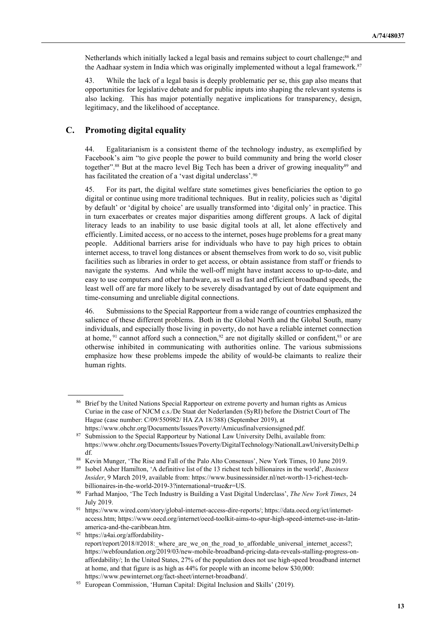Netherlands which initially lacked a legal basis and remains subject to court challenge;<sup>86</sup> and the Aadhaar system in India which was originally implemented without a legal framework.<sup>87</sup>

43. While the lack of a legal basis is deeply problematic per se, this gap also means that opportunities for legislative debate and for public inputs into shaping the relevant systems is also lacking. This has major potentially negative implications for transparency, design, legitimacy, and the likelihood of acceptance.

#### C. Promoting digital equality

44. Egalitarianism is a consistent theme of the technology industry, as exemplified by Facebook's aim "to give people the power to build community and bring the world closer together".<sup>88</sup> But at the macro level Big Tech has been a driver of growing inequality<sup>89</sup> and has facilitated the creation of a 'vast digital underclass'.<sup>90</sup>

45. For its part, the digital welfare state sometimes gives beneficiaries the option to go digital or continue using more traditional techniques. But in reality, policies such as 'digital by default' or 'digital by choice' are usually transformed into 'digital only' in practice. This in turn exacerbates or creates major disparities among different groups. A lack of digital literacy leads to an inability to use basic digital tools at all, let alone effectively and efficiently. Limited access, or no access to the internet, poses huge problems for a great many people. Additional barriers arise for individuals who have to pay high prices to obtain internet access, to travel long distances or absent themselves from work to do so, visit public facilities such as libraries in order to get access, or obtain assistance from staff or friends to navigate the systems. And while the well-off might have instant access to up-to-date, and easy to use computers and other hardware, as well as fast and efficient broadband speeds, the least well off are far more likely to be severely disadvantaged by out of date equipment and time-consuming and unreliable digital connections.

46. Submissions to the Special Rapporteur from a wide range of countries emphasized the salience of these different problems. Both in the Global North and the Global South, many individuals, and especially those living in poverty, do not have a reliable internet connection at home,  $91$  cannot afford such a connection,  $92$  are not digitally skilled or confident,  $93$  or are otherwise inhibited in communicating with authorities online. The various submissions emphasize how these problems impede the ability of would-be claimants to realize their human rights.

92 https://a4ai.org/affordability-

<sup>&</sup>lt;sup>86</sup> Brief by the United Nations Special Rapporteur on extreme poverty and human rights as Amicus Curiae in the case of NJCM c.s./De Staat der Nederlanden (SyRI) before the District Court of The Hague (case number: C/09/550982/ HA ZA 18/388) (September 2019), at https://www.ohchr.org/Documents/Issues/Poverty/Amicusfinalversionsigned.pdf.

<sup>87</sup> Submission to the Special Rapporteur by National Law University Delhi, available from: https://www.ohchr.org/Documents/Issues/Poverty/DigitalTechnology/NationalLawUniversityDelhi.p df.

<sup>88</sup> Kevin Munger, 'The Rise and Fall of the Palo Alto Consensus', New York Times, 10 June 2019.

<sup>&</sup>lt;sup>89</sup> Isobel Asher Hamilton, 'A definitive list of the 13 richest tech billionaires in the world', *Business* Insider, 9 March 2019, available from: https://www.businessinsider.nl/net-worth-13-richest-techbillionaires-in-the-world-2019-3?international=true&r=US.

<sup>90</sup> Farhad Manjoo, 'The Tech Industry is Building a Vast Digital Underclass', The New York Times, 24 July 2019.

<sup>91</sup> https://www.wired.com/story/global-internet-access-dire-reports/; https://data.oecd.org/ict/internetaccess.htm; https://www.oecd.org/internet/oecd-toolkit-aims-to-spur-high-speed-internet-use-in-latinamerica-and-the-caribbean.htm.

report/report/2018/#2018: where are we on the road to affordable universal internet access?; https://webfoundation.org/2019/03/new-mobile-broadband-pricing-data-reveals-stalling-progress-onaffordability/; In the United States, 27% of the population does not use high-speed broadband internet at home, and that figure is as high as 44% for people with an income below \$30,000: https://www.pewinternet.org/fact-sheet/internet-broadband/.

<sup>93</sup> European Commission, 'Human Capital: Digital Inclusion and Skills' (2019).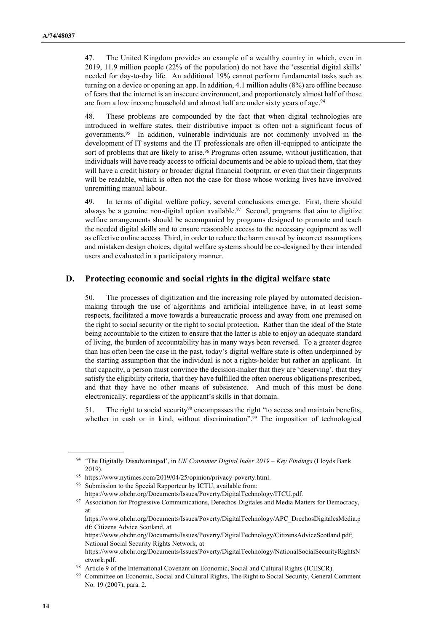47. The United Kingdom provides an example of a wealthy country in which, even in 2019, 11.9 million people (22% of the population) do not have the 'essential digital skills' needed for day-to-day life. An additional 19% cannot perform fundamental tasks such as turning on a device or opening an app. In addition, 4.1 million adults (8%) are offline because of fears that the internet is an insecure environment, and proportionately almost half of those are from a low income household and almost half are under sixty years of age.<sup>94</sup>

48. These problems are compounded by the fact that when digital technologies are introduced in welfare states, their distributive impact is often not a significant focus of governments.95 In addition, vulnerable individuals are not commonly involved in the development of IT systems and the IT professionals are often ill-equipped to anticipate the sort of problems that are likely to arise.<sup>96</sup> Programs often assume, without justification, that individuals will have ready access to official documents and be able to upload them, that they will have a credit history or broader digital financial footprint, or even that their fingerprints will be readable, which is often not the case for those whose working lives have involved unremitting manual labour.

49. In terms of digital welfare policy, several conclusions emerge. First, there should always be a genuine non-digital option available.<sup>97</sup> Second, programs that aim to digitize welfare arrangements should be accompanied by programs designed to promote and teach the needed digital skills and to ensure reasonable access to the necessary equipment as well as effective online access. Third, in order to reduce the harm caused by incorrect assumptions and mistaken design choices, digital welfare systems should be co-designed by their intended users and evaluated in a participatory manner.

#### D. Protecting economic and social rights in the digital welfare state

50. The processes of digitization and the increasing role played by automated decisionmaking through the use of algorithms and artificial intelligence have, in at least some respects, facilitated a move towards a bureaucratic process and away from one premised on the right to social security or the right to social protection. Rather than the ideal of the State being accountable to the citizen to ensure that the latter is able to enjoy an adequate standard of living, the burden of accountability has in many ways been reversed. To a greater degree than has often been the case in the past, today's digital welfare state is often underpinned by the starting assumption that the individual is not a rights-holder but rather an applicant. In that capacity, a person must convince the decision-maker that they are 'deserving', that they satisfy the eligibility criteria, that they have fulfilled the often onerous obligations prescribed, and that they have no other means of subsistence. And much of this must be done electronically, regardless of the applicant's skills in that domain.

51. The right to social security98 encompasses the right "to access and maintain benefits, whether in cash or in kind, without discrimination".<sup>99</sup> The imposition of technological

<sup>&</sup>lt;sup>94</sup> 'The Digitally Disadvantaged', in UK Consumer Digital Index  $2019 - Key Findings$  (Lloyds Bank 2019).

<sup>95</sup> https://www.nytimes.com/2019/04/25/opinion/privacy-poverty.html.

Submission to the Special Rapporteur by ICTU, available from:

https://www.ohchr.org/Documents/Issues/Poverty/DigitalTechnology/ITCU.pdf.

<sup>&</sup>lt;sup>97</sup> Association for Progressive Communications, Derechos Digitales and Media Matters for Democracy, at

https://www.ohchr.org/Documents/Issues/Poverty/DigitalTechnology/APC\_DrechosDigitalesMedia.p df; Citizens Advice Scotland, at

https://www.ohchr.org/Documents/Issues/Poverty/DigitalTechnology/CitizensAdviceScotland.pdf; National Social Security Rights Network, at

https://www.ohchr.org/Documents/Issues/Poverty/DigitalTechnology/NationalSocialSecurityRightsN etwork.pdf.

<sup>98</sup> Article 9 of the International Covenant on Economic, Social and Cultural Rights (ICESCR).

<sup>99</sup> Committee on Economic, Social and Cultural Rights, The Right to Social Security, General Comment No. 19 (2007), para. 2.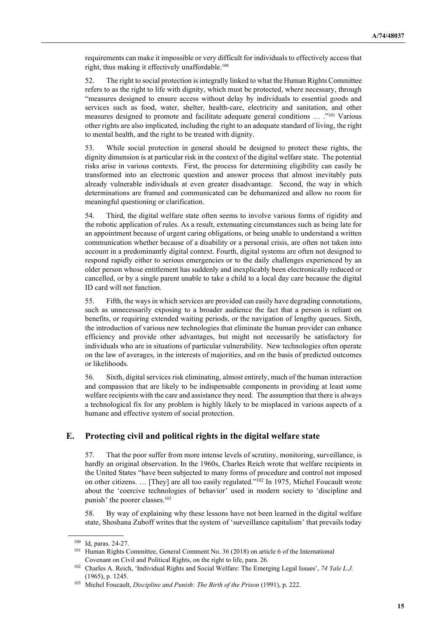requirements can make it impossible or very difficult for individuals to effectively access that right, thus making it effectively unaffordable.<sup>100</sup>

52. The right to social protection is integrally linked to what the Human Rights Committee refers to as the right to life with dignity, which must be protected, where necessary, through "measures designed to ensure access without delay by individuals to essential goods and services such as food, water, shelter, health-care, electricity and sanitation, and other measures designed to promote and facilitate adequate general conditions ... ."101 Various other rights are also implicated, including the right to an adequate standard of living, the right to mental health, and the right to be treated with dignity.

53. While social protection in general should be designed to protect these rights, the dignity dimension is at particular risk in the context of the digital welfare state. The potential risks arise in various contexts. First, the process for determining eligibility can easily be transformed into an electronic question and answer process that almost inevitably puts already vulnerable individuals at even greater disadvantage. Second, the way in which determinations are framed and communicated can be dehumanized and allow no room for meaningful questioning or clarification.

54. Third, the digital welfare state often seems to involve various forms of rigidity and the robotic application of rules. As a result, extenuating circumstances such as being late for an appointment because of urgent caring obligations, or being unable to understand a written communication whether because of a disability or a personal crisis, are often not taken into account in a predominantly digital context. Fourth, digital systems are often not designed to respond rapidly either to serious emergencies or to the daily challenges experienced by an older person whose entitlement has suddenly and inexplicably been electronically reduced or cancelled, or by a single parent unable to take a child to a local day care because the digital ID card will not function.

55. Fifth, the ways in which services are provided can easily have degrading connotations, such as unnecessarily exposing to a broader audience the fact that a person is reliant on benefits, or requiring extended waiting periods, or the navigation of lengthy queues. Sixth, the introduction of various new technologies that eliminate the human provider can enhance efficiency and provide other advantages, but might not necessarily be satisfactory for individuals who are in situations of particular vulnerability. New technologies often operate on the law of averages, in the interests of majorities, and on the basis of predicted outcomes or likelihoods.

56. Sixth, digital services risk eliminating, almost entirely, much of the human interaction and compassion that are likely to be indispensable components in providing at least some welfare recipients with the care and assistance they need. The assumption that there is always a technological fix for any problem is highly likely to be misplaced in various aspects of a humane and effective system of social protection.

#### E. Protecting civil and political rights in the digital welfare state

57. That the poor suffer from more intense levels of scrutiny, monitoring, surveillance, is hardly an original observation. In the 1960s, Charles Reich wrote that welfare recipients in the United States "have been subjected to many forms of procedure and control not imposed on other citizens. ... [They] are all too easily regulated."<sup>102</sup> In 1975, Michel Foucault wrote about the 'coercive technologies of behavior' used in modern society to 'discipline and punish' the poorer classes.<sup>103</sup>

58. By way of explaining why these lessons have not been learned in the digital welfare state, Shoshana Zuboff writes that the system of 'surveillance capitalism' that prevails today

<sup>100</sup> Id, paras. 24-27.

<sup>101</sup> Human Rights Committee, General Comment No. 36 (2018) on article 6 of the International Covenant on Civil and Political Rights, on the right to life, para. 26.

<sup>&</sup>lt;sup>102</sup> Charles A. Reich, 'Individual Rights and Social Welfare: The Emerging Legal Issues', 74 Yale L.J. (1965), p. 1245.

<sup>&</sup>lt;sup>103</sup> Michel Foucault, Discipline and Punish: The Birth of the Prison (1991), p. 222.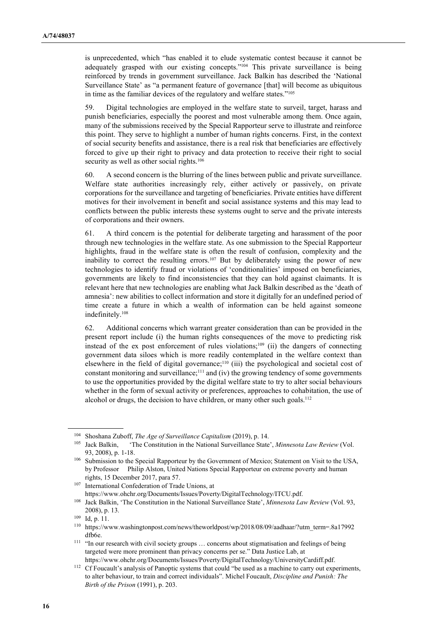is unprecedented, which "has enabled it to elude systematic contest because it cannot be adequately grasped with our existing concepts."104 This private surveillance is being reinforced by trends in government surveillance. Jack Balkin has described the 'National Surveillance State' as "a permanent feature of governance [that] will become as ubiquitous in time as the familiar devices of the regulatory and welfare states."<sup>105</sup>

59. Digital technologies are employed in the welfare state to surveil, target, harass and punish beneficiaries, especially the poorest and most vulnerable among them. Once again, many of the submissions received by the Special Rapporteur serve to illustrate and reinforce this point. They serve to highlight a number of human rights concerns. First, in the context of social security benefits and assistance, there is a real risk that beneficiaries are effectively forced to give up their right to privacy and data protection to receive their right to social security as well as other social rights.<sup>106</sup>

60. A second concern is the blurring of the lines between public and private surveillance. Welfare state authorities increasingly rely, either actively or passively, on private corporations for the surveillance and targeting of beneficiaries. Private entities have different motives for their involvement in benefit and social assistance systems and this may lead to conflicts between the public interests these systems ought to serve and the private interests of corporations and their owners.

61. A third concern is the potential for deliberate targeting and harassment of the poor through new technologies in the welfare state. As one submission to the Special Rapporteur highlights, fraud in the welfare state is often the result of confusion, complexity and the inability to correct the resulting errors.<sup>107</sup> But by deliberately using the power of new technologies to identify fraud or violations of 'conditionalities' imposed on beneficiaries, governments are likely to find inconsistencies that they can hold against claimants. It is relevant here that new technologies are enabling what Jack Balkin described as the 'death of amnesia': new abilities to collect information and store it digitally for an undefined period of time create a future in which a wealth of information can be held against someone indefinitely.<sup>108</sup>

62. Additional concerns which warrant greater consideration than can be provided in the present report include (i) the human rights consequences of the move to predicting risk instead of the ex post enforcement of rules violations;<sup>109</sup> (ii) the dangers of connecting government data siloes which is more readily contemplated in the welfare context than elsewhere in the field of digital governance;110 (iii) the psychological and societal cost of constant monitoring and surveillance;<sup>111</sup> and (iv) the growing tendency of some governments to use the opportunities provided by the digital welfare state to try to alter social behaviours whether in the form of sexual activity or preferences, approaches to cohabitation, the use of alcohol or drugs, the decision to have children, or many other such goals.<sup>112</sup>

<sup>&</sup>lt;sup>104</sup> Shoshana Zuboff, *The Age of Surveillance Capitalism* (2019), p. 14.<br><sup>105</sup> Jack Balkin, 'The Constitution in the National Surveillance State

<sup>&#</sup>x27;The Constitution in the National Surveillance State', Minnesota Law Review (Vol. 93, 2008), p. 1-18.

<sup>&</sup>lt;sup>106</sup> Submission to the Special Rapporteur by the Government of Mexico; Statement on Visit to the USA, by Professor Philip Alston, United Nations Special Rapporteur on extreme poverty and human rights, 15 December 2017, para 57.

<sup>107</sup> International Confederation of Trade Unions, at https://www.ohchr.org/Documents/Issues/Poverty/DigitalTechnology/ITCU.pdf.

<sup>&</sup>lt;sup>108</sup> Jack Balkin, 'The Constitution in the National Surveillance State', Minnesota Law Review (Vol. 93, 2008), p. 13.

<sup>109</sup> Id, p. 11.

 $110$  https://www.washingtonpost.com/news/theworldpost/wp/2018/08/09/aadhaar/?utm\_term=.8a17992 dfb6e.

<sup>&</sup>lt;sup>111</sup> "In our research with civil society groups ... concerns about stigmatisation and feelings of being targeted were more prominent than privacy concerns per se." Data Justice Lab, at https://www.ohchr.org/Documents/Issues/Poverty/DigitalTechnology/UniversityCardiff.pdf.

<sup>&</sup>lt;sup>112</sup> Cf Foucault's analysis of Panoptic systems that could "be used as a machine to carry out experiments, to alter behaviour, to train and correct individuals". Michel Foucault, Discipline and Punish: The Birth of the Prison (1991), p. 203.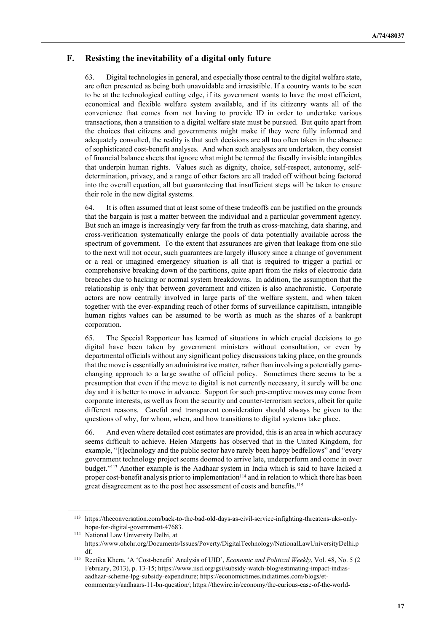## F. Resisting the inevitability of a digital only future

63. Digital technologies in general, and especially those central to the digital welfare state, are often presented as being both unavoidable and irresistible. If a country wants to be seen to be at the technological cutting edge, if its government wants to have the most efficient, economical and flexible welfare system available, and if its citizenry wants all of the convenience that comes from not having to provide ID in order to undertake various transactions, then a transition to a digital welfare state must be pursued. But quite apart from the choices that citizens and governments might make if they were fully informed and adequately consulted, the reality is that such decisions are all too often taken in the absence of sophisticated cost-benefit analyses. And when such analyses are undertaken, they consist of financial balance sheets that ignore what might be termed the fiscally invisible intangibles that underpin human rights. Values such as dignity, choice, self-respect, autonomy, selfdetermination, privacy, and a range of other factors are all traded off without being factored into the overall equation, all but guaranteeing that insufficient steps will be taken to ensure their role in the new digital systems.

64. It is often assumed that at least some of these tradeoffs can be justified on the grounds that the bargain is just a matter between the individual and a particular government agency. But such an image is increasingly very far from the truth as cross-matching, data sharing, and cross-verification systematically enlarge the pools of data potentially available across the spectrum of government. To the extent that assurances are given that leakage from one silo to the next will not occur, such guarantees are largely illusory since a change of government or a real or imagined emergency situation is all that is required to trigger a partial or comprehensive breaking down of the partitions, quite apart from the risks of electronic data breaches due to hacking or normal system breakdowns. In addition, the assumption that the relationship is only that between government and citizen is also anachronistic. Corporate actors are now centrally involved in large parts of the welfare system, and when taken together with the ever-expanding reach of other forms of surveillance capitalism, intangible human rights values can be assumed to be worth as much as the shares of a bankrupt corporation.

65. The Special Rapporteur has learned of situations in which crucial decisions to go digital have been taken by government ministers without consultation, or even by departmental officials without any significant policy discussions taking place, on the grounds that the move is essentially an administrative matter, rather than involving a potentially gamechanging approach to a large swathe of official policy. Sometimes there seems to be a presumption that even if the move to digital is not currently necessary, it surely will be one day and it is better to move in advance. Support for such pre-emptive moves may come from corporate interests, as well as from the security and counter-terrorism sectors, albeit for quite different reasons. Careful and transparent consideration should always be given to the questions of why, for whom, when, and how transitions to digital systems take place.

66. And even where detailed cost estimates are provided, this is an area in which accuracy seems difficult to achieve. Helen Margetts has observed that in the United Kingdom, for example, "[t]echnology and the public sector have rarely been happy bedfellows" and "every government technology project seems doomed to arrive late, underperform and come in over budget."113 Another example is the Aadhaar system in India which is said to have lacked a proper cost-benefit analysis prior to implementation $114$  and in relation to which there has been great disagreement as to the post hoc assessment of costs and benefits.<sup>115</sup>

<sup>113</sup> https://theconversation.com/back-to-the-bad-old-days-as-civil-service-infighting-threatens-uks-onlyhope-for-digital-government-47683.

<sup>114</sup> National Law University Delhi, at

https://www.ohchr.org/Documents/Issues/Poverty/DigitalTechnology/NationalLawUniversityDelhi.p df.

<sup>115</sup> Reetika Khera, 'A 'Cost-benefit' Analysis of UID', Economic and Political Weekly, Vol. 48, No. 5 (2 February, 2013), p. 13-15; https://www.iisd.org/gsi/subsidy-watch-blog/estimating-impact-indiasaadhaar-scheme-lpg-subsidy-expenditure; https://economictimes.indiatimes.com/blogs/etcommentary/aadhaars-11-bn-question/; https://thewire.in/economy/the-curious-case-of-the-world-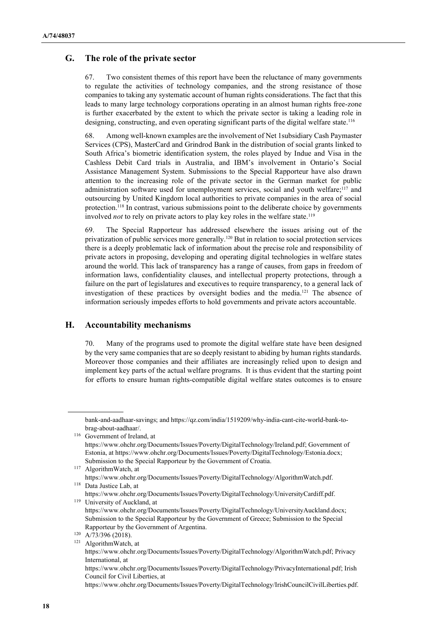#### G. The role of the private sector

67. Two consistent themes of this report have been the reluctance of many governments to regulate the activities of technology companies, and the strong resistance of those companies to taking any systematic account of human rights considerations. The fact that this leads to many large technology corporations operating in an almost human rights free-zone is further exacerbated by the extent to which the private sector is taking a leading role in designing, constructing, and even operating significant parts of the digital welfare state.<sup>116</sup>

68. Among well-known examples are the involvement of Net 1subsidiary Cash Paymaster Services (CPS), MasterCard and Grindrod Bank in the distribution of social grants linked to South Africa's biometric identification system, the roles played by Indue and Visa in the Cashless Debit Card trials in Australia, and IBM's involvement in Ontario's Social Assistance Management System. Submissions to the Special Rapporteur have also drawn attention to the increasing role of the private sector in the German market for public administration software used for unemployment services, social and youth welfare;<sup>117</sup> and outsourcing by United Kingdom local authorities to private companies in the area of social protection.118 In contrast, various submissions point to the deliberate choice by governments involved not to rely on private actors to play key roles in the welfare state.<sup>119</sup>

69. The Special Rapporteur has addressed elsewhere the issues arising out of the privatization of public services more generally.120 But in relation to social protection services there is a deeply problematic lack of information about the precise role and responsibility of private actors in proposing, developing and operating digital technologies in welfare states around the world. This lack of transparency has a range of causes, from gaps in freedom of information laws, confidentiality clauses, and intellectual property protections, through a failure on the part of legislatures and executives to require transparency, to a general lack of investigation of these practices by oversight bodies and the media.121 The absence of information seriously impedes efforts to hold governments and private actors accountable.

#### H. Accountability mechanisms

70. Many of the programs used to promote the digital welfare state have been designed by the very same companies that are so deeply resistant to abiding by human rights standards. Moreover those companies and their affiliates are increasingly relied upon to design and implement key parts of the actual welfare programs. It is thus evident that the starting point for efforts to ensure human rights-compatible digital welfare states outcomes is to ensure

bank-and-aadhaar-savings; and https://qz.com/india/1519209/why-india-cant-cite-world-bank-tobrag-about-aadhaar/.

<sup>116</sup> Government of Ireland, at https://www.ohchr.org/Documents/Issues/Poverty/DigitalTechnology/Ireland.pdf; Government of Estonia, at https://www.ohchr.org/Documents/Issues/Poverty/DigitalTechnology/Estonia.docx; Submission to the Special Rapporteur by the Government of Croatia.

<sup>117</sup> AlgorithmWatch, at https://www.ohchr.org/Documents/Issues/Poverty/DigitalTechnology/AlgorithmWatch.pdf. <sup>118</sup> Data Justice Lab, at

https://www.ohchr.org/Documents/Issues/Poverty/DigitalTechnology/UniversityCardiff.pdf. <sup>119</sup> University of Auckland, at

https://www.ohchr.org/Documents/Issues/Poverty/DigitalTechnology/UniversityAuckland.docx; Submission to the Special Rapporteur by the Government of Greece; Submission to the Special Rapporteur by the Government of Argentina.

<sup>120</sup> A/73/396 (2018).

<sup>121</sup> AlgorithmWatch, at

https://www.ohchr.org/Documents/Issues/Poverty/DigitalTechnology/AlgorithmWatch.pdf; Privacy International, at

https://www.ohchr.org/Documents/Issues/Poverty/DigitalTechnology/PrivacyInternational.pdf; Irish Council for Civil Liberties, at

https://www.ohchr.org/Documents/Issues/Poverty/DigitalTechnology/IrishCouncilCivilLiberties.pdf.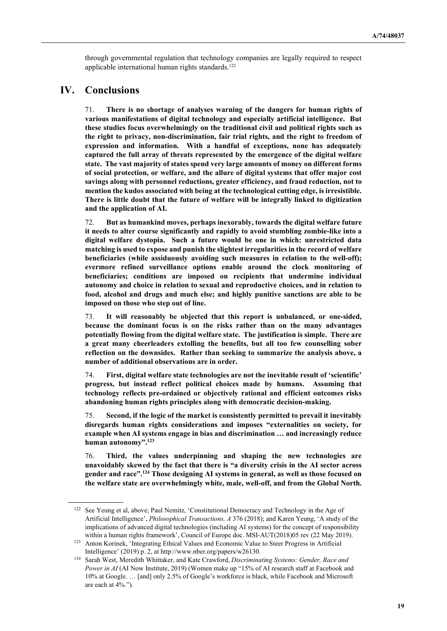through governmental regulation that technology companies are legally required to respect applicable international human rights standards.<sup>122</sup>

# IV. Conclusions

 $\overline{a}$ 

71. There is no shortage of analyses warning of the dangers for human rights of various manifestations of digital technology and especially artificial intelligence. But these studies focus overwhelmingly on the traditional civil and political rights such as the right to privacy, non-discrimination, fair trial rights, and the right to freedom of expression and information. With a handful of exceptions, none has adequately captured the full array of threats represented by the emergence of the digital welfare state. The vast majority of states spend very large amounts of money on different forms of social protection, or welfare, and the allure of digital systems that offer major cost savings along with personnel reductions, greater efficiency, and fraud reduction, not to mention the kudos associated with being at the technological cutting edge, is irresistible. There is little doubt that the future of welfare will be integrally linked to digitization and the application of AI.

72. But as humankind moves, perhaps inexorably, towards the digital welfare future it needs to alter course significantly and rapidly to avoid stumbling zombie-like into a digital welfare dystopia. Such a future would be one in which: unrestricted data matching is used to expose and punish the slightest irregularities in the record of welfare beneficiaries (while assiduously avoiding such measures in relation to the well-off); evermore refined surveillance options enable around the clock monitoring of beneficiaries; conditions are imposed on recipients that undermine individual autonomy and choice in relation to sexual and reproductive choices, and in relation to food, alcohol and drugs and much else; and highly punitive sanctions are able to be imposed on those who step out of line.

73. It will reasonably be objected that this report is unbalanced, or one-sided, because the dominant focus is on the risks rather than on the many advantages potentially flowing from the digital welfare state. The justification is simple. There are a great many cheerleaders extolling the benefits, but all too few counselling sober reflection on the downsides. Rather than seeking to summarize the analysis above, a number of additional observations are in order.

74. First, digital welfare state technologies are not the inevitable result of 'scientific' progress, but instead reflect political choices made by humans. Assuming that technology reflects pre-ordained or objectively rational and efficient outcomes risks abandoning human rights principles along with democratic decision-making.

75. Second, if the logic of the market is consistently permitted to prevail it inevitably disregards human rights considerations and imposes "externalities on society, for example when AI systems engage in bias and discrimination … and increasingly reduce human autonomy".<sup>123</sup>

76. Third, the values underpinning and shaping the new technologies are unavoidably skewed by the fact that there is "a diversity crisis in the AI sector across gender and race".<sup>124</sup> Those designing AI systems in general, as well as those focused on the welfare state are overwhelmingly white, male, well-off, and from the Global North.

<sup>122</sup> See Yeung et al, above; Paul Nemitz, 'Constitutional Democracy and Technology in the Age of Artificial Intelligence', Philosophical Transactions, A 376 (2018); and Karen Yeung, 'A study of the implications of advanced digital technologies (including AI systems) for the concept of responsibility within a human rights framework', Council of Europe doc. MSI-AUT(2018)05 rev (22 May 2019).

<sup>123</sup> Anton Korinek, 'Integrating Ethical Values and Economic Value to Steer Progress in Artificial Intelligence' (2019) p. 2, at http://www.nber.org/papers/w26130.

<sup>&</sup>lt;sup>124</sup> Sarah West, Meredith Whittaker, and Kate Crawford, Discriminating Systems: Gender, Race and Power in AI (AI Now Institute, 2019) (Women make up "15% of AI research staff at Facebook and 10% at Google. … [and] only 2.5% of Google's workforce is black, while Facebook and Microsoft are each at 4%.").